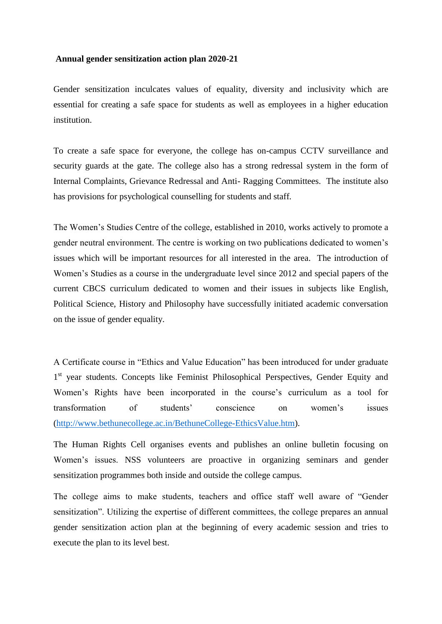## **Annual gender sensitization action plan 2020-21**

Gender sensitization inculcates values of equality, diversity and inclusivity which are essential for creating a safe space for students as well as employees in a higher education institution.

To create a safe space for everyone, the college has on-campus CCTV surveillance and security guards at the gate. The college also has a strong redressal system in the form of Internal Complaints, Grievance Redressal and Anti- Ragging Committees. The institute also has provisions for psychological counselling for students and staff.

The Women's Studies Centre of the college, established in 2010, works actively to promote a gender neutral environment. The centre is working on two publications dedicated to women's issues which will be important resources for all interested in the area. The introduction of Women's Studies as a course in the undergraduate level since 2012 and special papers of the current CBCS curriculum dedicated to women and their issues in subjects like English, Political Science, History and Philosophy have successfully initiated academic conversation on the issue of gender equality.

A Certificate course in "Ethics and Value Education" has been introduced for under graduate 1<sup>st</sup> year students. Concepts like Feminist Philosophical Perspectives, Gender Equity and Women's Rights have been incorporated in the course's curriculum as a tool for transformation of students' conscience on women's issues [\(http://www.bethunecollege.ac.in/BethuneCollege-EthicsValue.htm\)](http://www.bethunecollege.ac.in/BethuneCollege-EthicsValue.htm).

The Human Rights Cell organises events and publishes an online bulletin focusing on Women's issues. NSS volunteers are proactive in organizing seminars and gender sensitization programmes both inside and outside the college campus.

The college aims to make students, teachers and office staff well aware of "Gender sensitization". Utilizing the expertise of different committees, the college prepares an annual gender sensitization action plan at the beginning of every academic session and tries to execute the plan to its level best.